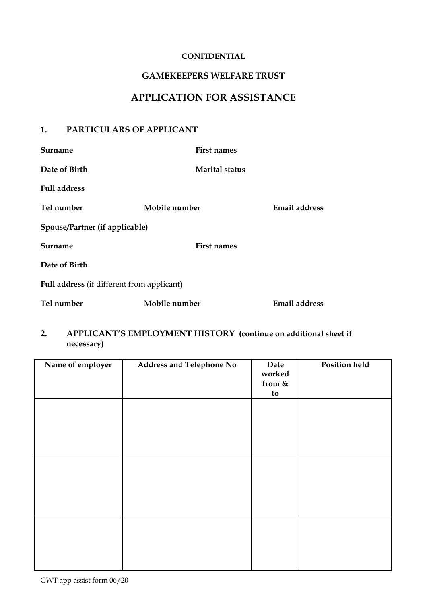### **CONFIDENTIAL**

## **GAMEKEEPERS WELFARE TRUST**

## **APPLICATION FOR ASSISTANCE**

### **1. PARTICULARS OF APPLICANT**

| <b>Surname</b>                                    | <b>First names</b>    |                      |
|---------------------------------------------------|-----------------------|----------------------|
| Date of Birth                                     | <b>Marital status</b> |                      |
| <b>Full address</b>                               |                       |                      |
| Tel number                                        | Mobile number         | Email address        |
| Spouse/Partner (if applicable)                    |                       |                      |
| Surname                                           | <b>First names</b>    |                      |
| Date of Birth                                     |                       |                      |
| <b>Full address</b> (if different from applicant) |                       |                      |
| Tel number                                        | Mobile number         | <b>Email address</b> |

### **2. APPLICANT'S EMPLOYMENT HISTORY (continue on additional sheet if necessary)**

| Name of employer | <b>Address and Telephone No</b> | Date<br>worked<br>from $\&$<br>to | <b>Position held</b> |
|------------------|---------------------------------|-----------------------------------|----------------------|
|                  |                                 |                                   |                      |
|                  |                                 |                                   |                      |
|                  |                                 |                                   |                      |
|                  |                                 |                                   |                      |
|                  |                                 |                                   |                      |
|                  |                                 |                                   |                      |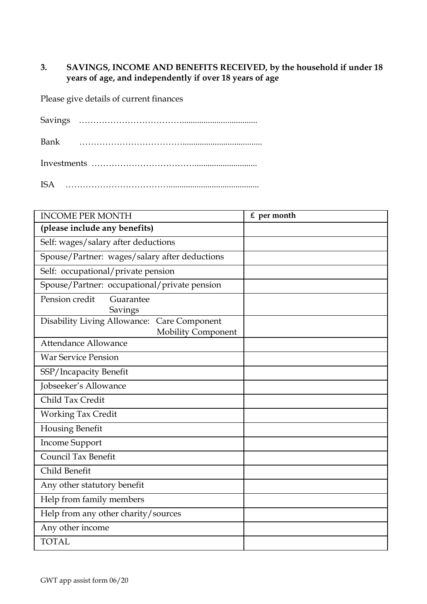## **3. SAVINGS, INCOME AND BENEFITS RECEIVED, by the household if under 18 years of age, and independently if over 18 years of age**

Please give details of current finances

ISA ………………………………..........................................

| <b>INCOME PER MONTH</b>                                                            | $£$ per month |
|------------------------------------------------------------------------------------|---------------|
| (please include any benefits)                                                      |               |
| Self: wages/salary after deductions                                                |               |
| Spouse/Partner: wages/salary after deductions                                      |               |
| Self: occupational/private pension                                                 |               |
| Spouse/Partner: occupational/private pension                                       |               |
| Pension credit<br>Guarantee<br>Savings                                             |               |
| <b>Disability Living Allowance:</b><br>Care Component<br><b>Mobility Component</b> |               |
| Attendance Allowance                                                               |               |
| <b>War Service Pension</b>                                                         |               |
| SSP/Incapacity Benefit                                                             |               |
| Jobseeker's Allowance                                                              |               |
| Child Tax Credit                                                                   |               |
| <b>Working Tax Credit</b>                                                          |               |
| <b>Housing Benefit</b>                                                             |               |
| <b>Income Support</b>                                                              |               |
| <b>Council Tax Benefit</b>                                                         |               |
| Child Benefit                                                                      |               |
| Any other statutory benefit                                                        |               |
| Help from family members                                                           |               |
| Help from any other charity/sources                                                |               |
| Any other income                                                                   |               |
| <b>TOTAL</b>                                                                       |               |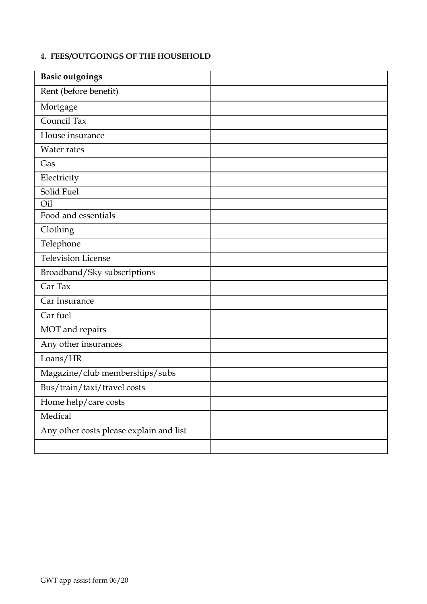# **4. FEES/OUTGOINGS OF THE HOUSEHOLD**

| <b>Basic outgoings</b>                  |  |
|-----------------------------------------|--|
| Rent (before benefit)                   |  |
| Mortgage                                |  |
| Council Tax                             |  |
| House insurance                         |  |
| Water rates                             |  |
| Gas                                     |  |
| Electricity                             |  |
| Solid Fuel                              |  |
| Oil                                     |  |
| Food and essentials                     |  |
| Clothing                                |  |
| Telephone                               |  |
| Television License                      |  |
| Broadband/Sky subscriptions             |  |
| Car Tax                                 |  |
| Car Insurance                           |  |
| Car fuel                                |  |
| MOT and repairs                         |  |
| Any other insurances                    |  |
| Loans/HR                                |  |
| Magazine/club memberships/subs          |  |
| Bus/train/taxi/travel costs             |  |
| Home help/care costs                    |  |
| Medical                                 |  |
| Any other costs please explain and list |  |
|                                         |  |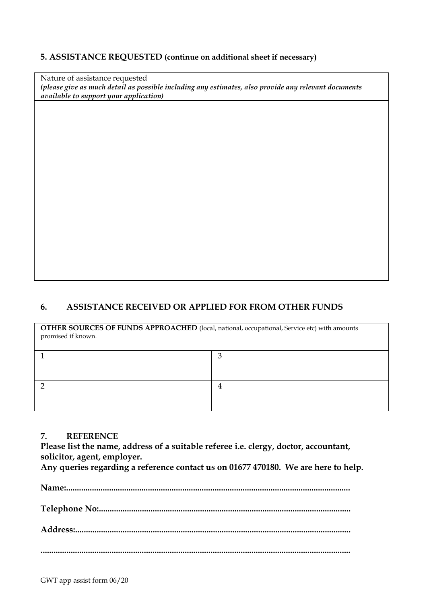### **5. ASSISTANCE REQUESTED (continue on additional sheet if necessary)**

Nature of assistance requested *(please give as much detail as possible including any estimates, also provide any relevant documents available to support your application)*

## **6. ASSISTANCE RECEIVED OR APPLIED FOR FROM OTHER FUNDS**

**OTHER SOURCES OF FUNDS APPROACHED** (local, national, occupational, Service etc) with amounts promised if known.

### **7. REFERENCE**

**Please list the name, address of a suitable referee i.e. clergy, doctor, accountant, solicitor, agent, employer.** 

**Any queries regarding a reference contact us on 01677 470180. We are here to help.**

**Name:....................................................................................................................................**

**Telephone No:.....................................................................................................................**

**Address:................................................................................................................................**

**................................................................................................................................................**